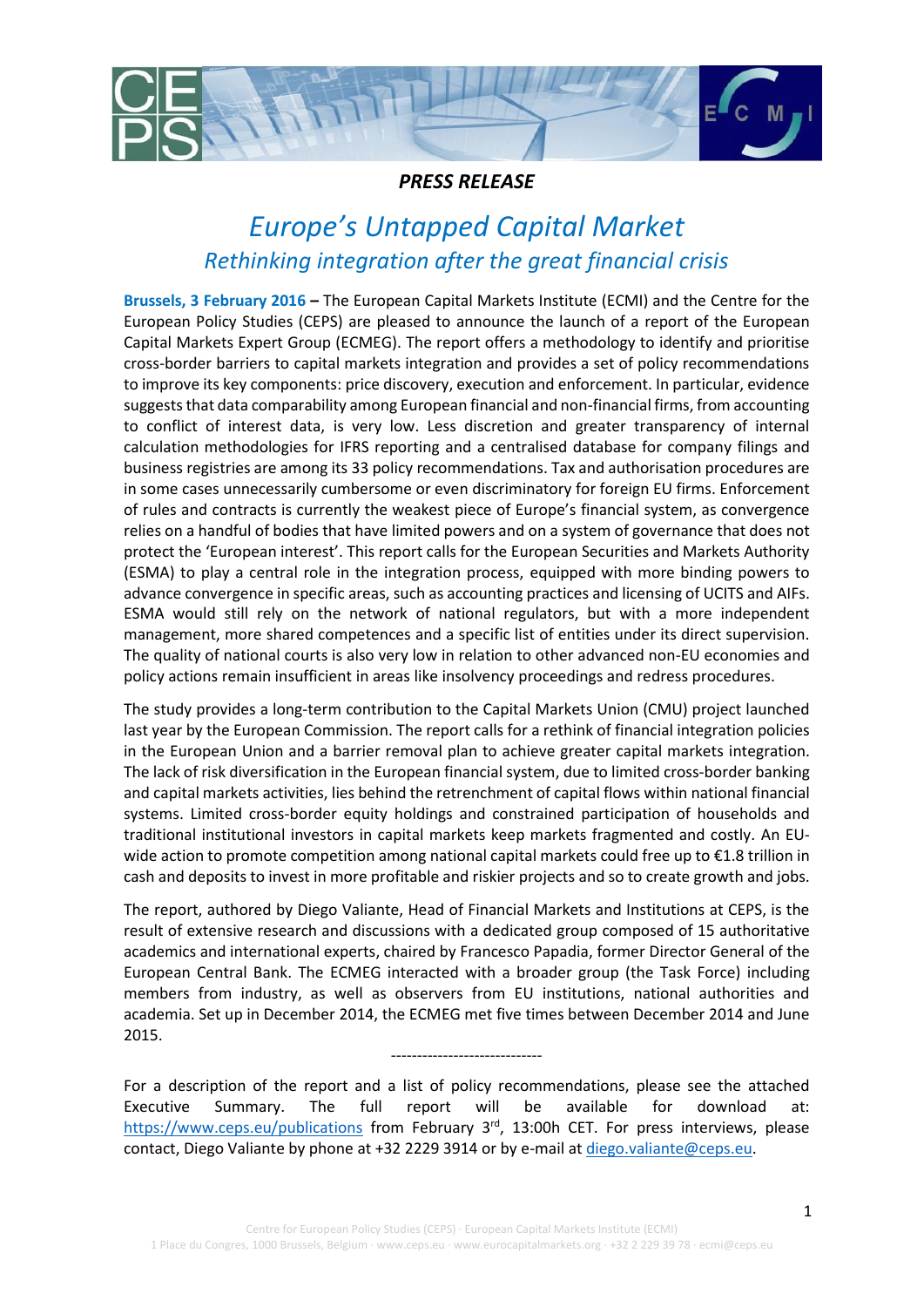

## *PRESS RELEASE*

# *Europe's Untapped Capital Market Rethinking integration after the great financial crisis*

**Brussels, 3 February 2016 –** The European Capital Markets Institute (ECMI) and the Centre for the European Policy Studies (CEPS) are pleased to announce the launch of a report of the European Capital Markets Expert Group (ECMEG). The report offers a methodology to identify and prioritise cross-border barriers to capital markets integration and provides a set of policy recommendations to improve its key components: price discovery, execution and enforcement. In particular, evidence suggests that data comparability among European financial and non-financial firms, from accounting to conflict of interest data, is very low. Less discretion and greater transparency of internal calculation methodologies for IFRS reporting and a centralised database for company filings and business registries are among its 33 policy recommendations. Tax and authorisation procedures are in some cases unnecessarily cumbersome or even discriminatory for foreign EU firms. Enforcement of rules and contracts is currently the weakest piece of Europe's financial system, as convergence relies on a handful of bodies that have limited powers and on a system of governance that does not protect the 'European interest'. This report calls for the European Securities and Markets Authority (ESMA) to play a central role in the integration process, equipped with more binding powers to advance convergence in specific areas, such as accounting practices and licensing of UCITS and AIFs. ESMA would still rely on the network of national regulators, but with a more independent management, more shared competences and a specific list of entities under its direct supervision. The quality of national courts is also very low in relation to other advanced non-EU economies and policy actions remain insufficient in areas like insolvency proceedings and redress procedures.

The study provides a long-term contribution to the Capital Markets Union (CMU) project launched last year by the European Commission. The report calls for a rethink of financial integration policies in the European Union and a barrier removal plan to achieve greater capital markets integration. The lack of risk diversification in the European financial system, due to limited cross-border banking and capital markets activities, lies behind the retrenchment of capital flows within national financial systems. Limited cross-border equity holdings and constrained participation of households and traditional institutional investors in capital markets keep markets fragmented and costly. An EUwide action to promote competition among national capital markets could free up to €1.8 trillion in cash and deposits to invest in more profitable and riskier projects and so to create growth and jobs.

The report, authored by Diego Valiante, Head of Financial Markets and Institutions at CEPS, is the result of extensive research and discussions with a dedicated group composed of 15 authoritative academics and international experts, chaired by Francesco Papadia, former Director General of the European Central Bank. The ECMEG interacted with a broader group (the Task Force) including members from industry, as well as observers from EU institutions, national authorities and academia. Set up in December 2014, the ECMEG met five times between December 2014 and June 2015.

For a description of the report and a list of policy recommendations, please see the attached Executive Summary. The full report will be available for download at: <https://www.ceps.eu/publications> from February 3<sup>rd</sup>, 13:00h CET. For press interviews, please contact, Diego Valiante by phone at +32 2229 3914 or by e-mail a[t diego.valiante@ceps.eu.](mailto:diego.valiante@ceps.eu)

-----------------------------